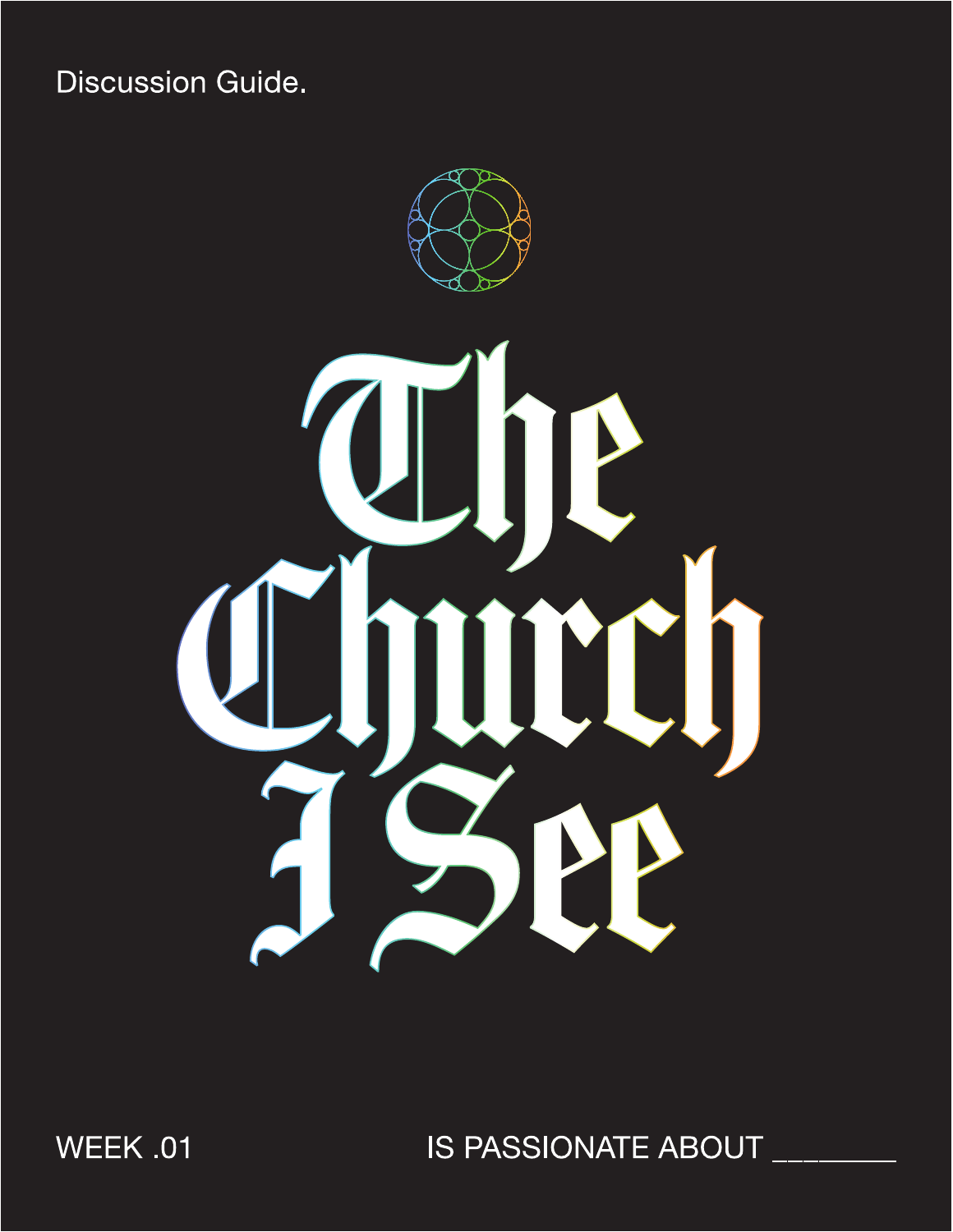**Discussion Guide.** 



**WEEK .01** 

IS PASSIONATE ABOUT \_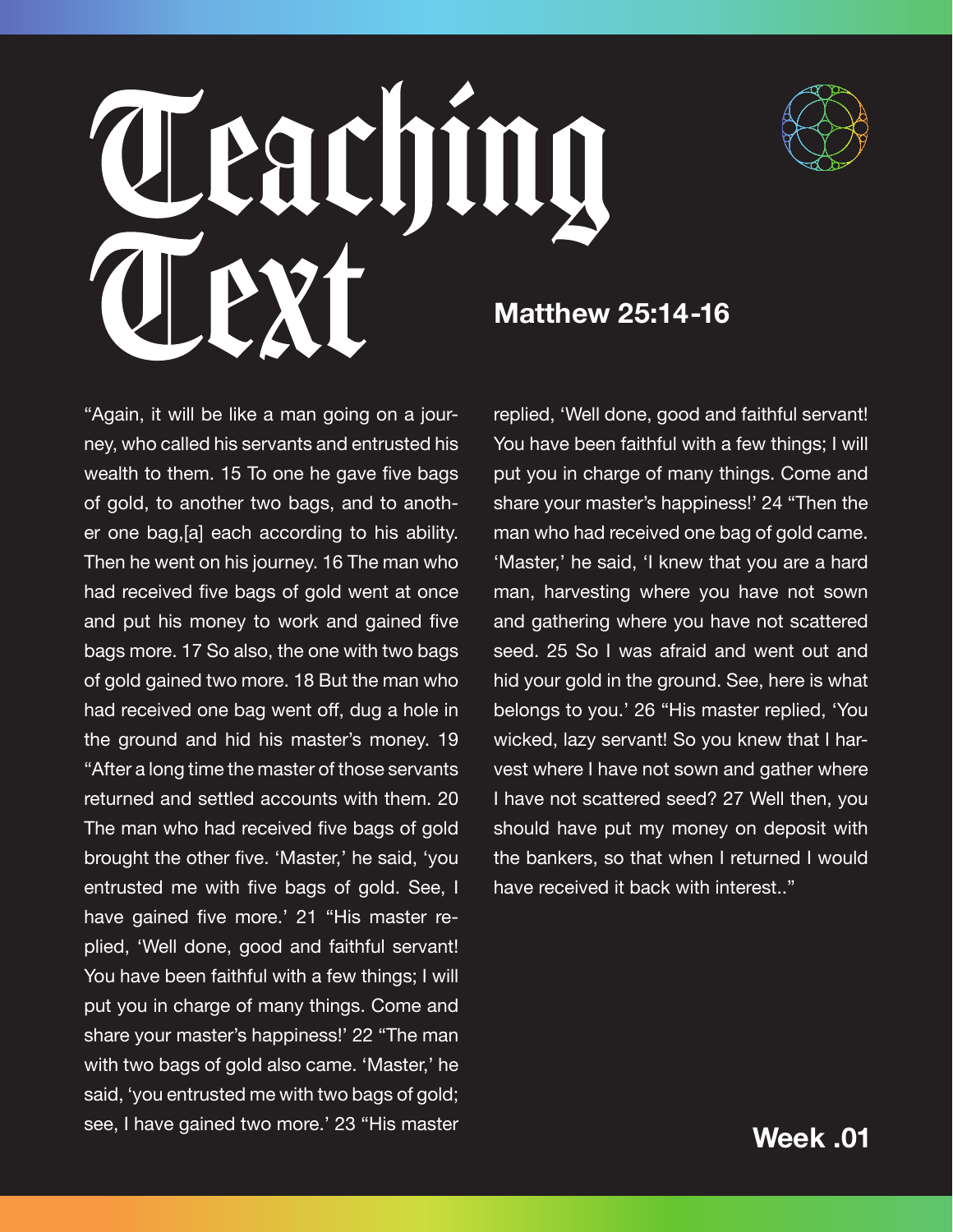



**Matthew 25:14-16**

"Again, it will be like a man going on a journey, who called his servants and entrusted his wealth to them. 15 To one he gave five bags of gold, to another two bags, and to another one bag,[a] each according to his ability. Then he went on his journey. 16 The man who had received five bags of gold went at once and put his money to work and gained five bags more. 17 So also, the one with two bags of gold gained two more. 18 But the man who had received one bag went off, dug a hole in the ground and hid his master's money. 19 "After a long time the master of those servants returned and settled accounts with them. 20 The man who had received five bags of gold brought the other five. 'Master,' he said, 'you entrusted me with five bags of gold. See, I have gained five more.' 21 "His master replied, 'Well done, good and faithful servant! You have been faithful with a few things; I will put you in charge of many things. Come and share your master's happiness!' 22 "The man with two bags of gold also came. 'Master,' he said, 'you entrusted me with two bags of gold; see, I have gained two more.' 23 "His master

replied, 'Well done, good and faithful servant! You have been faithful with a few things; I will put you in charge of many things. Come and share your master's happiness!' 24 "Then the man who had received one bag of gold came. 'Master,' he said, 'I knew that you are a hard man, harvesting where you have not sown and gathering where you have not scattered seed. 25 So I was afraid and went out and hid your gold in the ground. See, here is what belongs to you.' 26 "His master replied, 'You wicked, lazy servant! So you knew that I harvest where I have not sown and gather where I have not scattered seed? 27 Well then, you should have put my money on deposit with the bankers, so that when I returned I would have received it back with interest.."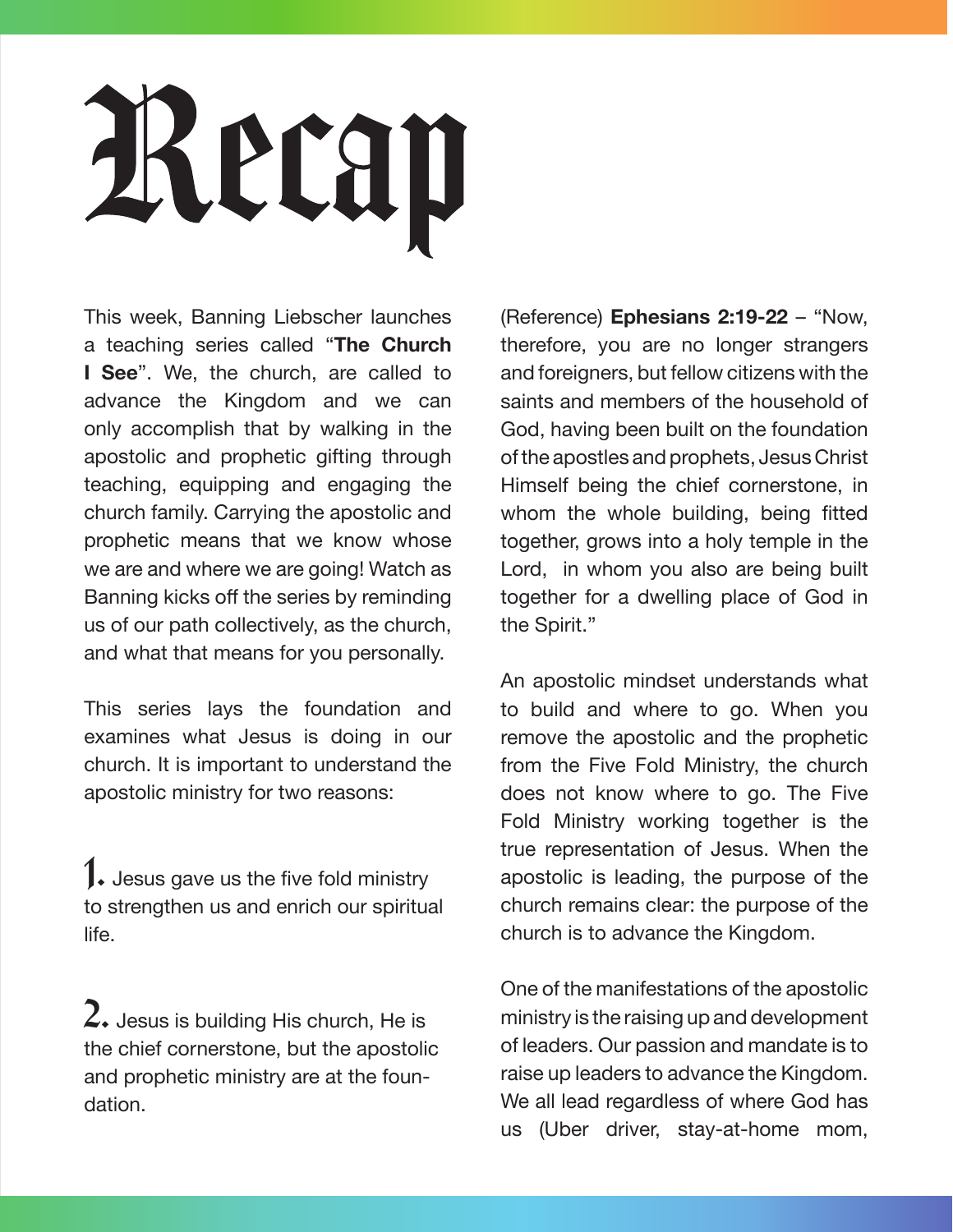# Recap

This week, Banning Liebscher launches a teaching series called "**The Church I See**". We, the church, are called to advance the Kingdom and we can only accomplish that by walking in the apostolic and prophetic gifting through teaching, equipping and engaging the church family. Carrying the apostolic and prophetic means that we know whose we are and where we are going! Watch as Banning kicks off the series by reminding us of our path collectively, as the church, and what that means for you personally.

This series lays the foundation and examines what Jesus is doing in our church. It is important to understand the apostolic ministry for two reasons:

 $\mathbf 1$ . Jesus gave us the five fold ministry to strengthen us and enrich our spiritual life.

 $2.$  Jesus is building His church, He is the chief cornerstone, but the apostolic and prophetic ministry are at the foundation.

(Reference) **Ephesians 2:19-22** – "Now, therefore, you are no longer strangers and foreigners, but fellow citizens with the saints and members of the household of God, having been built on the foundation of the apostles and prophets, Jesus Christ Himself being the chief cornerstone, in whom the whole building, being fitted together, grows into a holy temple in the Lord, in whom you also are being built together for a dwelling place of God in the Spirit."

An apostolic mindset understands what to build and where to go. When you remove the apostolic and the prophetic from the Five Fold Ministry, the church does not know where to go. The Five Fold Ministry working together is the true representation of Jesus. When the apostolic is leading, the purpose of the church remains clear: the purpose of the church is to advance the Kingdom.

One of the manifestations of the apostolic ministry is the raising up and development of leaders. Our passion and mandate is to raise up leaders to advance the Kingdom. We all lead regardless of where God has us (Uber driver, stay-at-home mom,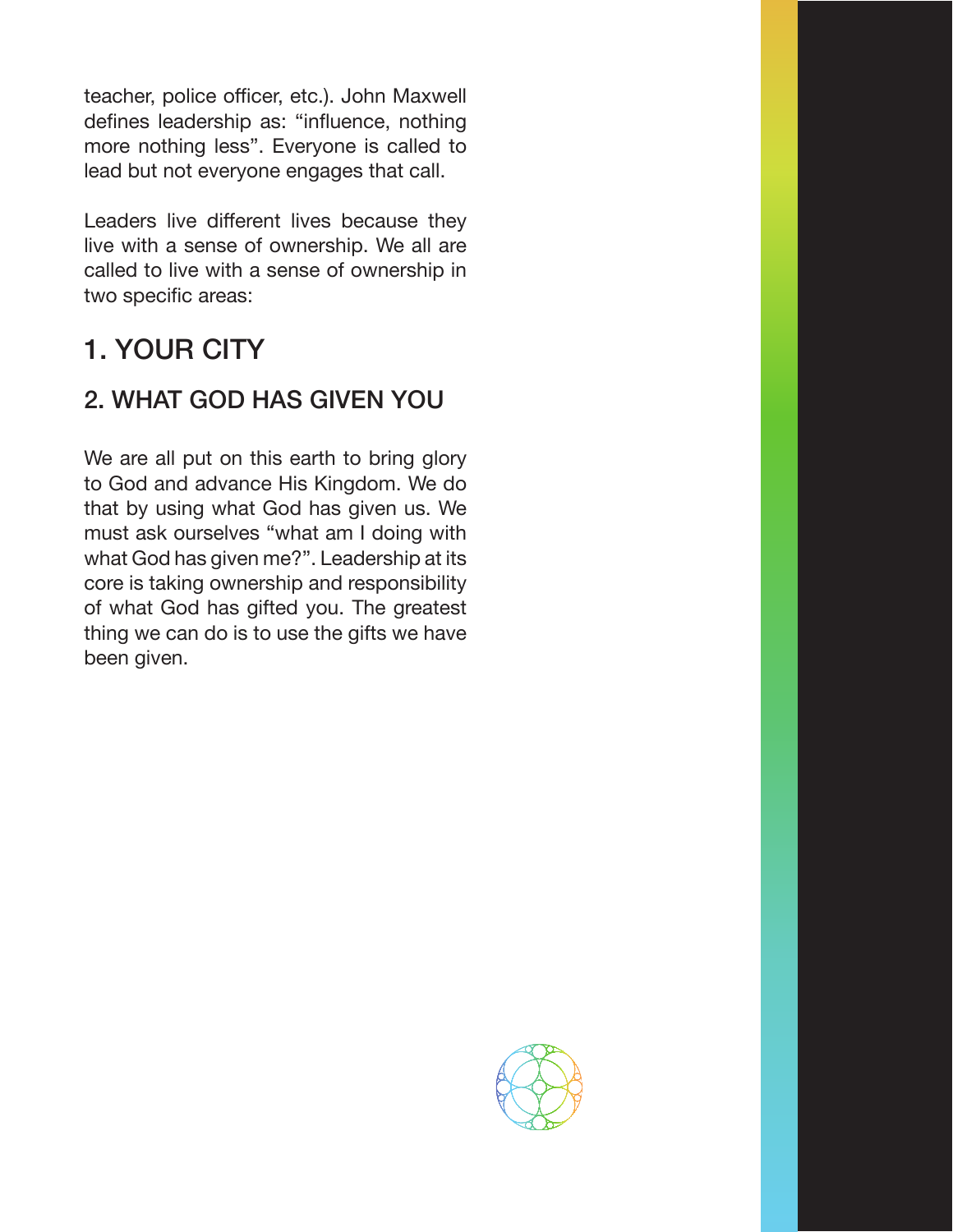teacher, police officer, etc.). John Maxwell defines leadership as: "influence, nothing more nothing less". Everyone is called to lead but not everyone engages that call.

Leaders live different lives because they live with a sense of ownership. We all are called to live with a sense of ownership in two specific areas:

### 1. YOUR CITY

### 2. WHAT GOD HAS GIVEN YOU

We are all put on this earth to bring glory to God and advance His Kingdom. We do that by using what God has given us. We must ask ourselves "what am I doing with what God has given me?". Leadership at its core is taking ownership and responsibility of what God has gifted you. The greatest thing we can do is to use the gifts we have been given.

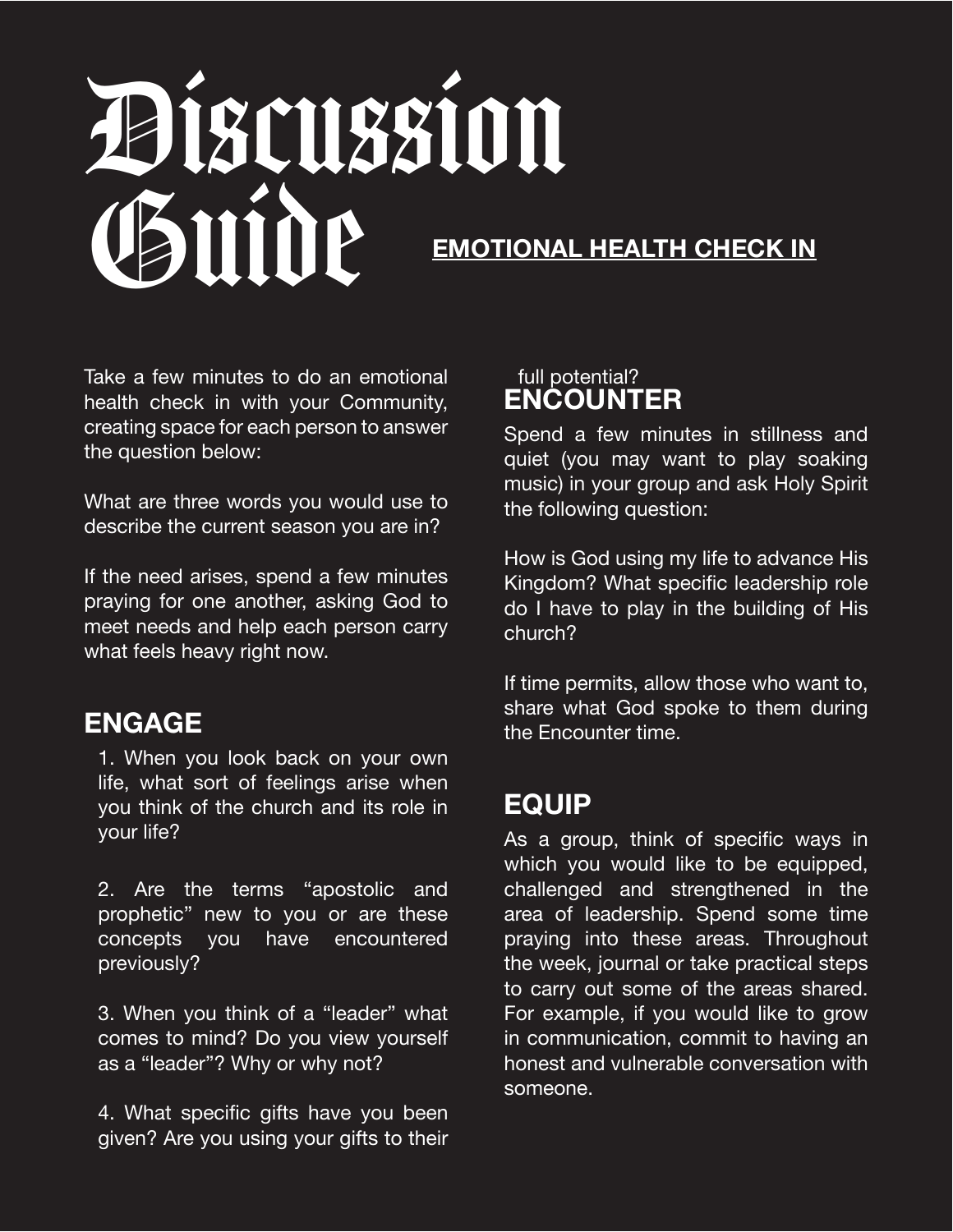## Discussion Guide **EMOTIONAL HEALTH CHECK IN**

Take a few minutes to do an emotional health check in with your Community, creating space for each person to answer the question below:

What are three words you would use to describe the current season you are in?

If the need arises, spend a few minutes praying for one another, asking God to meet needs and help each person carry what feels heavy right now.

### **ENGAGE**

1. When you look back on your own life, what sort of feelings arise when you think of the church and its role in your life?

2. Are the terms "apostolic and prophetic" new to you or are these concepts you have encountered previously?

3. When you think of a "leader" what comes to mind? Do you view yourself as a "leader"? Why or why not?

4. What specific gifts have you been given? Are you using your gifts to their

#### full potential? **ENCOUNTER**

Spend a few minutes in stillness and quiet (you may want to play soaking music) in your group and ask Holy Spirit the following question:

How is God using my life to advance His Kingdom? What specific leadership role do I have to play in the building of His church?

If time permits, allow those who want to, share what God spoke to them during the Encounter time.

### **EQUIP**

As a group, think of specific ways in which you would like to be equipped, challenged and strengthened in the area of leadership. Spend some time praying into these areas. Throughout the week, journal or take practical steps to carry out some of the areas shared. For example, if you would like to grow in communication, commit to having an honest and vulnerable conversation with someone.